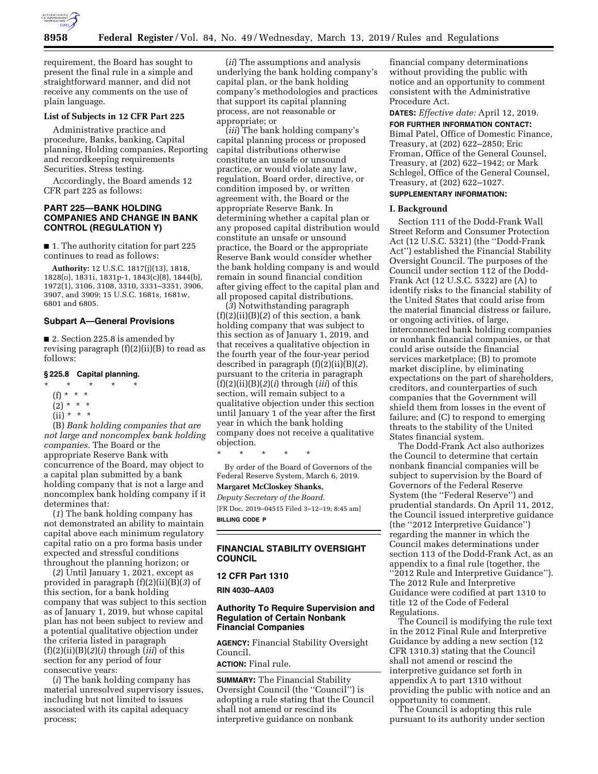

requirement, the Board has sought to present the final rule in a simple and straightforward manner, and did not receive any comments on the use of plain language.

### **List of Subjects in 12 CFR Part 225**

Administrative practice and procedure, Banks, banking, Capital planning, Holding companies, Reporting and recordkeeping requirements Securities, Stress testing.

Accordingly, the Board amends 12 CFR part 225 as follows:

### **PART 225—BANK HOLDING COMPANIES AND CHANGE IN BANK CONTROL (REGULATION Y)**

■ 1. The authority citation for part 225 continues to read as follows:

**Authority:** 12 U.S.C. 1817(j)(13), 1818, 1828(o), 1831i, 1831p-1, 1843(c)(8), 1844(b), 1972(1), 3106, 3108, 3310, 3331–3351, 3906, 3907, and 3909; 15 U.S.C. 1681s, 1681w, 6801 and 6805.

# **Subpart A—General Provisions**

■ 2. Section 225.8 is amended by revising paragraph  $(f)(2)(ii)(B)$  to read as follows:

#### **§ 225.8 Capital planning.**

- \* \* \* \* \*
	- (f) \* \* \*
	- $(2) * * * *$
	- $(ii) * * * *$

(B) *Bank holding companies that are not large and noncomplex bank holding companies.* The Board or the appropriate Reserve Bank with concurrence of the Board, may object to a capital plan submitted by a bank holding company that is not a large and noncomplex bank holding company if it determines that:

(*1*) The bank holding company has not demonstrated an ability to maintain capital above each minimum regulatory capital ratio on a pro forma basis under expected and stressful conditions throughout the planning horizon; or

(*2*) Until January 1, 2021, except as provided in paragraph (f)(2)(ii)(B)(*3*) of this section, for a bank holding company that was subject to this section as of January 1, 2019, but whose capital plan has not been subject to review and a potential qualitative objection under the criteria listed in paragraph (f)(2)(ii)(B)(*2*)(*i*) through (*iii*) of this section for any period of four consecutive years:

(*i*) The bank holding company has material unresolved supervisory issues, including but not limited to issues associated with its capital adequacy process;

(*ii*) The assumptions and analysis underlying the bank holding company's capital plan, or the bank holding company's methodologies and practices that support its capital planning process, are not reasonable or appropriate; or

(*iii*) The bank holding company's capital planning process or proposed capital distributions otherwise constitute an unsafe or unsound practice, or would violate any law, regulation, Board order, directive, or condition imposed by, or written agreement with, the Board or the appropriate Reserve Bank. In determining whether a capital plan or any proposed capital distribution would constitute an unsafe or unsound practice, the Board or the appropriate Reserve Bank would consider whether the bank holding company is and would remain in sound financial condition after giving effect to the capital plan and all proposed capital distributions.

(*3*) Notwithstanding paragraph (f)(2)(ii)(B)(*2*) of this section, a bank holding company that was subject to this section as of January 1, 2019, and that receives a qualitative objection in the fourth year of the four-year period described in paragraph (f)(2)(ii)(B)(*2*), pursuant to the criteria in paragraph (f)(2)(ii)(B)(*2*)(*i*) through (*iii*) of this section, will remain subject to a qualitative objection under this section until January 1 of the year after the first year in which the bank holding company does not receive a qualitative objection.

\* \* \* \* \*

By order of the Board of Governors of the Federal Reserve System, March 6, 2019.

# **Margaret McCloskey Shanks,**

*Deputy Secretary of the Board.*  [FR Doc. 2019–04515 Filed 3–12–19; 8:45 am] **BILLING CODE P** 

#### **FINANCIAL STABILITY OVERSIGHT COUNCIL**

### **12 CFR Part 1310**

**RIN 4030–AA03** 

#### **Authority To Require Supervision and Regulation of Certain Nonbank Financial Companies**

**AGENCY:** Financial Stability Oversight Council.

# **ACTION:** Final rule.

**SUMMARY:** The Financial Stability Oversight Council (the ''Council'') is adopting a rule stating that the Council shall not amend or rescind its interpretive guidance on nonbank

financial company determinations without providing the public with notice and an opportunity to comment consistent with the Administrative Procedure Act.

**DATES:** *Effective date:* April 12, 2019.

**FOR FURTHER INFORMATION CONTACT:**  Bimal Patel, Office of Domestic Finance, Treasury, at (202) 622–2850; Eric Froman, Office of the General Counsel, Treasury, at (202) 622–1942; or Mark Schlegel, Office of the General Counsel, Treasury, at (202) 622–1027.

### **SUPPLEMENTARY INFORMATION:**

#### **I. Background**

Section 111 of the Dodd-Frank Wall Street Reform and Consumer Protection Act (12 U.S.C. 5321) (the ''Dodd-Frank Act'') established the Financial Stability Oversight Council. The purposes of the Council under section 112 of the Dodd-Frank Act (12 U.S.C. 5322) are (A) to identify risks to the financial stability of the United States that could arise from the material financial distress or failure, or ongoing activities, of large, interconnected bank holding companies or nonbank financial companies, or that could arise outside the financial services marketplace; (B) to promote market discipline, by eliminating expectations on the part of shareholders, creditors, and counterparties of such companies that the Government will shield them from losses in the event of failure; and (C) to respond to emerging threats to the stability of the United States financial system.

The Dodd-Frank Act also authorizes the Council to determine that certain nonbank financial companies will be subject to supervision by the Board of Governors of the Federal Reserve System (the ''Federal Reserve'') and prudential standards. On April 11, 2012, the Council issued interpretive guidance (the ''2012 Interpretive Guidance'') regarding the manner in which the Council makes determinations under section 113 of the Dodd-Frank Act, as an appendix to a final rule (together, the ''2012 Rule and Interpretive Guidance''). The 2012 Rule and Interpretive Guidance were codified at part 1310 to title 12 of the Code of Federal Regulations.

The Council is modifying the rule text in the 2012 Final Rule and Interpretive Guidance by adding a new section (12 CFR 1310.3) stating that the Council shall not amend or rescind the interpretive guidance set forth in appendix A to part 1310 without providing the public with notice and an opportunity to comment.

The Council is adopting this rule pursuant to its authority under section